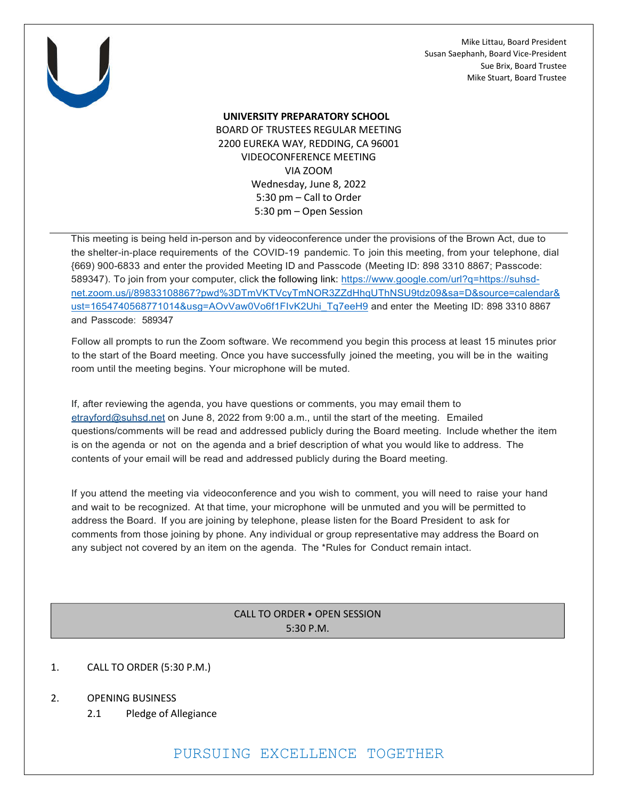Mike Littau, Board President Susan Saephanh, Board Vice-President Sue Brix, Board Trustee Mike Stuart, Board Trustee



#### **UNIVERSITY PREPARATORY SCHOOL**

BOARD OF TRUSTEES REGULAR MEETING 2200 EUREKA WAY, REDDING, CA 96001 VIDEOCONFERENCE MEETING VIA ZOOM Wednesday, June 8, 2022 5:30 pm – Call to Order 5:30 pm – Open Session

This meeting is being held in-person and by videoconference under the provisions of the Brown Act, due to the shelter-in-place requirements of the COVID-19 pandemic. To join this meeting, from your telephone, dial {669) 900-6833 and enter the provided Meeting ID and Passcode (Meeting ID: 898 3310 8867; Passcode: 589347). To join from your computer, click the following link: https://www.google.com/url?q=https://suhsdnet.zoom.us/j/89833108867?pwd%3DTmVKTVcyTmNOR3ZZdHhqUThNSU9tdz09&sa=D&source=calendar& ust=1654740568771014&usg=AOvVaw0Vo6f1FIvK2Uhi\_Tq7eeH9 and enter the Meeting ID: 898 3310 8867 and Passcode: 589347

Follow all prompts to run the Zoom software. We recommend you begin this process at least 15 minutes prior to the start of the Board meeting. Once you have successfully joined the meeting, you will be in the waiting room until the meeting begins. Your microphone will be muted.

If, after reviewing the agenda, you have questions or comments, you may email them to etrayford@suhsd.net on June 8, 2022 from 9:00 a.m., until the start of the meeting. Emailed questions/comments will be read and addressed publicly during the Board meeting. Include whether the item is on the agenda or not on the agenda and a brief description of what you would like to address. The contents of your email will be read and addressed publicly during the Board meeting.

If you attend the meeting via videoconference and you wish to comment, you will need to raise your hand and wait to be recognized. At that time, your microphone will be unmuted and you will be permitted to address the Board. If you are joining by telephone, please listen for the Board President to ask for comments from those joining by phone. Any individual or group representative may address the Board on any subject not covered by an item on the agenda. The \*Rules for Conduct remain intact.

# CALL TO ORDER ⦁ OPEN SESSION 5:30 P.M.

## 1. CALL TO ORDER (5:30 P.M.)

- 2. OPENING BUSINESS
	- 2.1 Pledge of Allegiance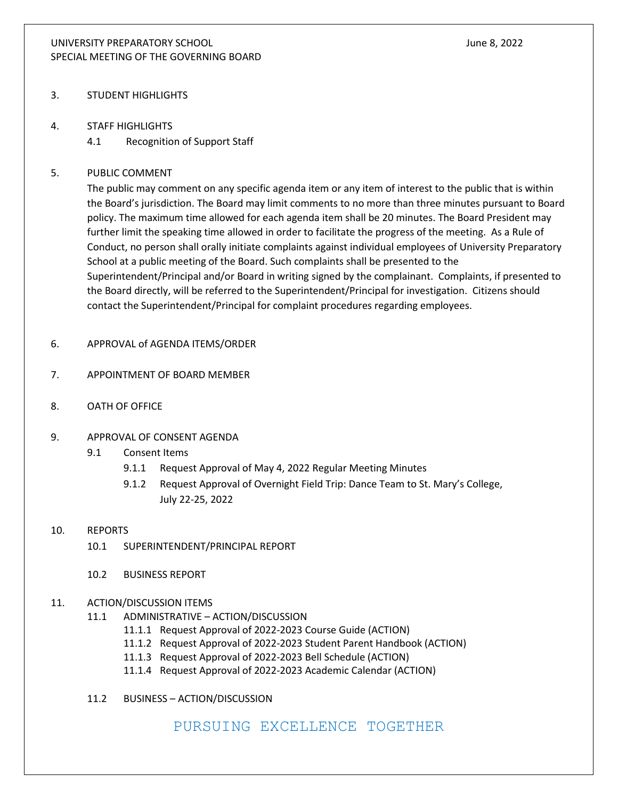## UNIVERSITY PREPARATORY SCHOOL June 8, 2022 SPECIAL MEETING OF THE GOVERNING BOARD

- 3. STUDENT HIGHLIGHTS
- 4. STAFF HIGHLIGHTS
	- 4.1 Recognition of Support Staff

## 5. PUBLIC COMMENT

The public may comment on any specific agenda item or any item of interest to the public that is within the Board's jurisdiction. The Board may limit comments to no more than three minutes pursuant to Board policy. The maximum time allowed for each agenda item shall be 20 minutes. The Board President may further limit the speaking time allowed in order to facilitate the progress of the meeting. As a Rule of Conduct, no person shall orally initiate complaints against individual employees of University Preparatory School at a public meeting of the Board. Such complaints shall be presented to the Superintendent/Principal and/or Board in writing signed by the complainant. Complaints, if presented to the Board directly, will be referred to the Superintendent/Principal for investigation. Citizens should contact the Superintendent/Principal for complaint procedures regarding employees.

- 6. APPROVAL of AGENDA ITEMS/ORDER
- 7. APPOINTMENT OF BOARD MEMBER
- 8. OATH OF OFFICE
- 9. APPROVAL OF CONSENT AGENDA
	- 9.1 Consent Items
		- 9.1.1 Request Approval of May 4, 2022 Regular Meeting Minutes
		- 9.1.2 Request Approval of Overnight Field Trip: Dance Team to St. Mary's College, July 22-25, 2022
- 10. REPORTS
	- 10.1 SUPERINTENDENT/PRINCIPAL REPORT
	- 10.2 BUSINESS REPORT
- 11. ACTION/DISCUSSION ITEMS
	- 11.1 ADMINISTRATIVE ACTION/DISCUSSION
		- 11.1.1 Request Approval of 2022-2023 Course Guide (ACTION)
		- 11.1.2 Request Approval of 2022-2023 Student Parent Handbook (ACTION)
		- 11.1.3 Request Approval of 2022-2023 Bell Schedule (ACTION)
		- 11.1.4 Request Approval of 2022-2023 Academic Calendar (ACTION)
	- 11.2 BUSINESS ACTION/DISCUSSION

PURSUING EXCELLENCE TOGETHER